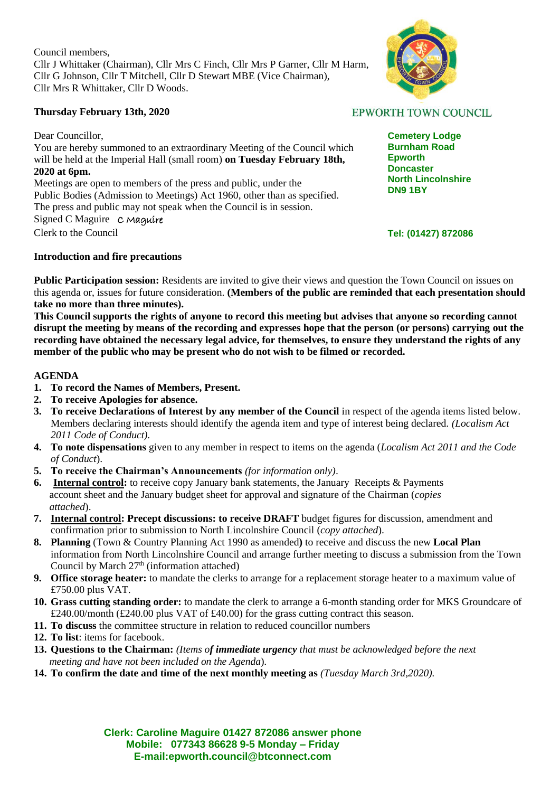Council members, Cllr J Whittaker (Chairman), Cllr Mrs C Finch, Cllr Mrs P Garner, Cllr M Harm, Cllr G Johnson, Cllr T Mitchell, Cllr D Stewart MBE (Vice Chairman), Cllr Mrs R Whittaker, Cllr D Woods.

## **Thursday February 13th, 2020**

Dear Councillor,

You are hereby summoned to an extraordinary Meeting of the Council which will be held at the Imperial Hall (small room) **on Tuesday February 18th, 2020 at 6pm.**

Meetings are open to members of the press and public, under the Public Bodies (Admission to Meetings) Act 1960, other than as specified. The press and public may not speak when the Council is in session. Signed C Maguire C Maquire Clerk to the Council

### **Introduction and fire precautions**

**Public Participation session:** Residents are invited to give their views and question the Town Council on issues on this agenda or, issues for future consideration. **(Members of the public are reminded that each presentation should take no more than three minutes).**

**This Council supports the rights of anyone to record this meeting but advises that anyone so recording cannot disrupt the meeting by means of the recording and expresses hope that the person (or persons) carrying out the recording have obtained the necessary legal advice, for themselves, to ensure they understand the rights of any member of the public who may be present who do not wish to be filmed or recorded.**

### **AGENDA**

- **1. To record the Names of Members, Present.**
- **2. To receive Apologies for absence.**
- **3. To receive Declarations of Interest by any member of the Council** in respect of the agenda items listed below. Members declaring interests should identify the agenda item and type of interest being declared. *(Localism Act 2011 Code of Conduct).*
- **4. To note dispensations** given to any member in respect to items on the agenda (*Localism Act 2011 and the Code of Conduct*).
- **5. To receive the Chairman's Announcements** *(for information only)*.
- **6. Internal control:** to receive copy January bank statements, the January Receipts & Payments account sheet and the January budget sheet for approval and signature of the Chairman (*copies attached*).
- **7. Internal control: Precept discussions: to receive DRAFT** budget figures for discussion, amendment and confirmation prior to submission to North Lincolnshire Council (*copy attached*).
- **8. Planning** (Town & Country Planning Act 1990 as amended**)** to receive and discuss the new **Local Plan**  information from North Lincolnshire Council and arrange further meeting to discuss a submission from the Town Council by March  $27<sup>th</sup>$  (information attached)
- **9. Office storage heater:** to mandate the clerks to arrange for a replacement storage heater to a maximum value of £750.00 plus VAT.
- **10. Grass cutting standing order:** to mandate the clerk to arrange a 6-month standing order for MKS Groundcare of £240.00/month (£240.00 plus VAT of £40.00) for the grass cutting contract this season.
- **11. To discuss** the committee structure in relation to reduced councillor numbers
- **12. To list**: items for facebook.
- **13. Questions to the Chairman:** *(Items of immediate urgency that must be acknowledged before the next meeting and have not been included on the Agenda*)*.*
- **14. To confirm the date and time of the next monthly meeting as** *(Tuesday March 3rd,2020).*

**Clerk: Caroline Maguire 01427 872086 answer phone Mobile: 077343 86628 9-5 Monday – Friday E-mail:epworth.council@btconnect.com**



# **EPWORTH TOWN COUNCIL**

**Cemetery Lodge Burnham Road Epworth Doncaster North Lincolnshire DN9 1BY**

### **Tel: (01427) 872086**